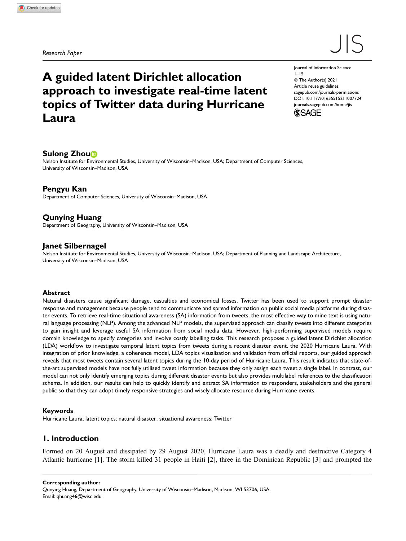Research Paper

# $\vert\,\vert$

## A guided latent Dirichlet allocation approach to investigate real-time latent topics of Twitter data during Hurricane Laura

Journal of Information Science 1–15 © The Author(s) 2021 Article reuse guidelines: sagepub.com/journals-permissions DOI: 10.1177/01655515211007724 journals.sagepub.com/home/jis



#### Sulong Zhou<sup>b</sup>

Nelson Institute for Environmental Studies, University of Wisconsin–Madison, USA; Department of Computer Sciences, University of Wisconsin–Madison, USA

#### Pengyu Kan

Department of Computer Sciences, University of Wisconsin–Madison, USA

#### Qunying Huang

Department of Geography, University of Wisconsin–Madison, USA

#### Janet Silbernagel

Nelson Institute for Environmental Studies, University of Wisconsin–Madison, USA; Department of Planning and Landscape Architecture, University of Wisconsin–Madison, USA

#### Abstract

Natural disasters cause significant damage, casualties and economical losses. Twitter has been used to support prompt disaster response and management because people tend to communicate and spread information on public social media platforms during disaster events. To retrieve real-time situational awareness (SA) information from tweets, the most effective way to mine text is using natural language processing (NLP). Among the advanced NLP models, the supervised approach can classify tweets into different categories to gain insight and leverage useful SA information from social media data. However, high-performing supervised models require domain knowledge to specify categories and involve costly labelling tasks. This research proposes a guided latent Dirichlet allocation (LDA) workflow to investigate temporal latent topics from tweets during a recent disaster event, the 2020 Hurricane Laura. With integration of prior knowledge, a coherence model, LDA topics visualisation and validation from official reports, our guided approach reveals that most tweets contain several latent topics during the 10-day period of Hurricane Laura. This result indicates that state-ofthe-art supervised models have not fully utilised tweet information because they only assign each tweet a single label. In contrast, our model can not only identify emerging topics during different disaster events but also provides multilabel references to the classification schema. In addition, our results can help to quickly identify and extract SA information to responders, stakeholders and the general public so that they can adopt timely responsive strategies and wisely allocate resource during Hurricane events.

#### Keywords

Hurricane Laura; latent topics; natural disaster; situational awareness; Twitter

#### 1. Introduction

Formed on 20 August and dissipated by 29 August 2020, Hurricane Laura was a deadly and destructive Category 4 Atlantic hurricane [1]. The storm killed 31 people in Haiti [2], three in the Dominican Republic [3] and prompted the

Corresponding author: Qunying Huang, Department of Geography, University of Wisconsin–Madison, Madison, WI 53706, USA. Email: qhuang46@wisc.edu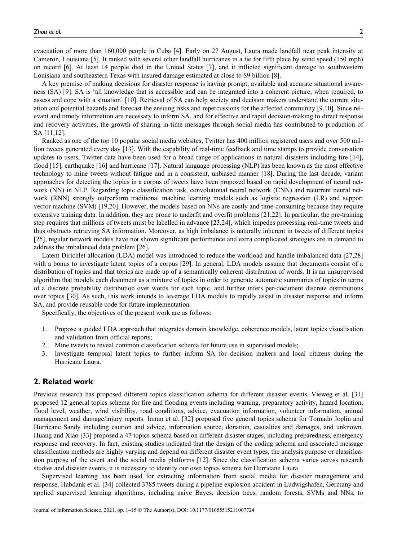evacuation of more than 160,000 people in Cuba [4]. Early on 27 August, Laura made landfall near peak intensity at Cameron, Louisiana [5]. It ranked with several other landfall hurricanes in a tie for fifth place by wind speed (150 mph) on record [6]. At least 14 people died in the United States [7], and it inflicted significant damage to southwestern Louisiana and southeastern Texas with insured damage estimated at close to \$9 billion [8].

A key premise of making decisions for disaster response is having prompt, available and accurate situational awareness (SA) [9]. SA is 'all knowledge that is accessible and can be integrated into a coherent picture, when required, to assess and cope with a situation' [10]. Retrieval of SA can help society and decision makers understand the current situation and potential hazards and forecast the ensuing risks and repercussions for the affected community [9,10]. Since relevant and timely information are necessary to inform SA, and for effective and rapid decision-making to direct response and recovery activities, the growth of sharing in-time messages through social media has contributed to production of SA [11,12].

Ranked as one of the top 10 popular social media websites, Twitter has 400 million registered users and over 500 million tweets generated every day [13]. With the capability of real-time feedback and time stamps to provide conversation updates to users, Twitter data have been used for a broad range of applications in natural disasters including fire [14], flood [15], earthquake [16] and hurricane [17]. Natural language processing (NLP) has been known as the most effective technology to mine tweets without fatigue and in a consistent, unbiased manner [18]. During the last decade, variant approaches for detecting the topics in a corpus of tweets have been proposed based on rapid development of neural network (NN) in NLP. Regarding topic classification task, convolutional neural network (CNN) and recurrent neural network (RNN) strongly outperform traditional machine learning models such as logistic regression (LR) and support vector machine (SVM) [19,20]. However, the models based on NNs are costly and time-consuming because they require extensive training data. In addition, they are prone to underfit and overfit problems [21,22]. In particular, the pre-training step requires that millions of tweets must be labelled in advance [23,24], which impedes processing real-time tweets and thus obstructs retrieving SA information. Moreover, as high imbalance is naturally inherent in tweets of different topics [25], regular network models have not shown significant performance and extra complicated strategies are in demand to address the imbalanced data problem [26].

Latent Dirichlet allocation (LDA) model was introduced to reduce the workload and handle imbalanced data [27,28] with a bonus to investigate latent topics of a corpus [29]. In general, LDA models assume that documents consist of a distribution of topics and that topics are made up of a semantically coherent distribution of words. It is an unsupervised algorithm that models each document as a mixture of topics in order to generate automatic summaries of topics in terms of a discrete probability distribution over words for each topic, and further infers per-document discrete distributions over topics [30]. As such, this work intends to leverage LDA models to rapidly assist in disaster response and inform SA, and provide reusable code for future implementation.

Specifically, the objectives of the present work are as follows:

- 1. Propose a guided LDA approach that integrates domain knowledge, coherence models, latent topics visualisation and validation from official reports;
- 2. Mine tweets to reveal common classification schema for future use in supervised models;
- 3. Investigate temporal latent topics to further inform SA for decision makers and local citizens during the Hurricane Laura.

#### 2. Related work

Previous research has proposed different topics classification schema for different disaster events. Vieweg et al. [31] proposed 12 general topics schema for fire and flooding events including warning, preparatory activity, hazard location, flood level, weather, wind visibility, road conditions, advice, evacuation information, volunteer information, animal management and damage/injury reports. Imran et al. [32] proposed five general topics schema for Tornado Joplin and Hurricane Sandy including caution and advice, information source, donation, casualties and damages, and unknown. Huang and Xiao [33] proposed a 47 topics schema based on different disaster stages, including preparedness, emergency response and recovery. In fact, existing studies indicated that the design of the coding schema and associated message classification methods are highly varying and depend on different disaster event types, the analysis purpose or classification purpose of the event and the social media platforms [12]. Since the classification schema varies across research studies and disaster events, it is necessary to identify our own topics schema for Hurricane Laura.

Supervised learning has been used for extracting information from social media for disaster management and response. Habdank et al. [34] collected 3785 tweets during a pipeline explosion accident in Ludwigshafen, Germany and applied supervised learning algorithms, including naive Bayes, decision trees, random forests, SVMs and NNs, to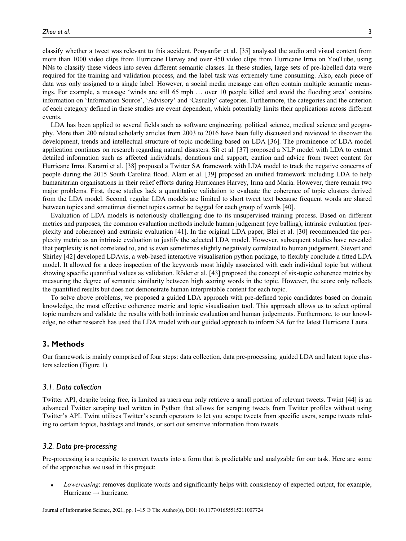classify whether a tweet was relevant to this accident. Pouyanfar et al. [35] analysed the audio and visual content from more than 1000 video clips from Hurricane Harvey and over 450 video clips from Hurricane Irma on YouTube, using NNs to classify these videos into seven different semantic classes. In these studies, large sets of pre-labelled data were required for the training and validation process, and the label task was extremely time consuming. Also, each piece of data was only assigned to a single label. However, a social media message can often contain multiple semantic meanings. For example, a message 'winds are still 65 mph ... over 10 people killed and avoid the flooding area' contains information on 'Information Source', 'Advisory' and 'Casualty' categories. Furthermore, the categories and the criterion of each category defined in these studies are event dependent, which potentially limits their applications across different events.

LDA has been applied to several fields such as software engineering, political science, medical science and geography. More than 200 related scholarly articles from 2003 to 2016 have been fully discussed and reviewed to discover the development, trends and intellectual structure of topic modelling based on LDA [36]. The prominence of LDA model application continues on research regarding natural disasters. Sit et al. [37] proposed a NLP model with LDA to extract detailed information such as affected individuals, donations and support, caution and advice from tweet content for Hurricane Irma. Karami et al. [38] proposed a Twitter SA framework with LDA model to track the negative concerns of people during the 2015 South Carolina flood. Alam et al. [39] proposed an unified framework including LDA to help humanitarian organisations in their relief efforts during Hurricanes Harvey, Irma and Maria. However, there remain two major problems. First, these studies lack a quantitative validation to evaluate the coherence of topic clusters derived from the LDA model. Second, regular LDA models are limited to short tweet text because frequent words are shared between topics and sometimes distinct topics cannot be tagged for each group of words [40].

Evaluation of LDA models is notoriously challenging due to its unsupervised training process. Based on different metrics and purposes, the common evaluation methods include human judgement (eye balling), intrinsic evaluation (perplexity and coherence) and extrinsic evaluation [41]. In the original LDA paper, Blei et al. [30] recommended the perplexity metric as an intrinsic evaluation to justify the selected LDA model. However, subsequent studies have revealed that perplexity is not correlated to, and is even sometimes slightly negatively correlated to human judgement. Sievert and Shirley [42] developed LDAvis, a web-based interactive visualisation python package, to flexibly conclude a fitted LDA model. It allowed for a deep inspection of the keywords most highly associated with each individual topic but without showing specific quantified values as validation. Roder et al. [43] proposed the concept of six-topic coherence metrics by measuring the degree of semantic similarity between high scoring words in the topic. However, the score only reflects the quantified results but does not demonstrate human interpretable content for each topic.

To solve above problems, we proposed a guided LDA approach with pre-defined topic candidates based on domain knowledge, the most effective coherence metric and topic visualisation tool. This approach allows us to select optimal topic numbers and validate the results with both intrinsic evaluation and human judgements. Furthermore, to our knowledge, no other research has used the LDA model with our guided approach to inform SA for the latest Hurricane Laura.

#### 3. Methods

Our framework is mainly comprised of four steps: data collection, data pre-processing, guided LDA and latent topic clusters selection (Figure 1).

#### 3.1. Data collection

Twitter API, despite being free, is limited as users can only retrieve a small portion of relevant tweets. Twint [44] is an advanced Twitter scraping tool written in Python that allows for scraping tweets from Twitter profiles without using Twitter's API. Twint utilises Twitter's search operators to let you scrape tweets from specific users, scrape tweets relating to certain topics, hashtags and trends, or sort out sensitive information from tweets.

#### 3.2. Data pre-processing

Pre-processing is a requisite to convert tweets into a form that is predictable and analyzable for our task. Here are some of the approaches we used in this project:

Lowercasing: removes duplicate words and significantly helps with consistency of expected output, for example, Hurricane  $\rightarrow$  hurricane.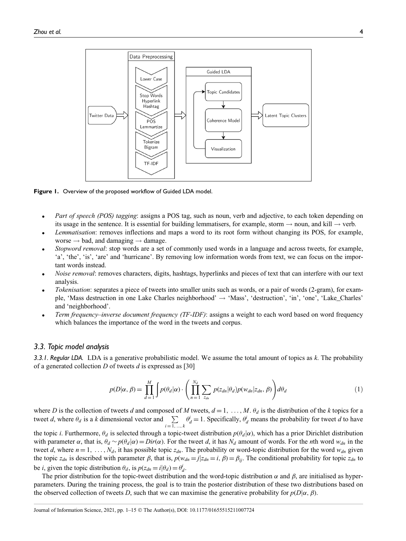

Figure 1. Overview of the proposed workflow of Guided LDA model.

- Part of speech (POS) tagging: assigns a POS tag, such as noun, verb and adjective, to each token depending on its usage in the sentence. It is essential for building lemmatisers, for example, storm  $\rightarrow$  noun, and kill  $\rightarrow$  verb.
- Lemmatisation: removes inflections and maps a word to its root form without changing its POS, for example, worse  $\rightarrow$  bad, and damaging  $\rightarrow$  damage.
- Stopword removal: stop words are a set of commonly used words in a language and across tweets, for example, 'a', 'the', 'is', 'are' and 'hurricane'. By removing low information words from text, we can focus on the important words instead.
- Noise removal: removes characters, digits, hashtags, hyperlinks and pieces of text that can interfere with our text analysis.
- Tokenisation: separates a piece of tweets into smaller units such as words, or a pair of words (2-gram), for example, 'Mass destruction in one Lake Charles neighborhood'  $\rightarrow$  'Mass', 'destruction', 'in', 'one', 'Lake\_Charles' and 'neighborhood'.
- Term frequency–inverse document frequency (TF-IDF): assigns a weight to each word based on word frequency which balances the importance of the word in the tweets and corpus.

#### 3.3. Topic model analysis

3.3.1. Regular LDA. LDA is a generative probabilistic model. We assume the total amount of topics as  $k$ . The probability of a generated collection  $D$  of tweets  $d$  is expressed as [30]

$$
p(D|\alpha, \beta) = \prod_{d=1}^{M} \int p(\theta_d|\alpha) \cdot \left( \prod_{n=1}^{N_d} \sum_{z_{dn}} p(z_{dn}|\theta_d) p(w_{dn}|z_{dn}, \beta) \right) d\theta_d \tag{1}
$$

where D is the collection of tweets d and composed of M tweets,  $d = 1, \ldots, M$ .  $\theta_d$  is the distribution of the k topics for a tweet d, where  $\theta_d$  is a k dimensional vector and  $\Sigma$  $i = 1, ..., k$  $\theta_d^i = 1$ . Specifically,  $\theta_d^i$  means the probability for tweet d to have

the topic *i*. Furthermore,  $\theta_d$  is selected through a topic-tweet distribution  $p(\theta_d|\alpha)$ , which has a prior Dirichlet distribution with parameter  $\alpha$ , that is,  $\theta_d \sim p(\theta_d|\alpha) = Dir(\alpha)$ . For the tweet d, it has  $N_d$  amount of words. For the nth word  $w_{dn}$  in the tweet d, where  $n = 1, \ldots, N_d$ , it has possible topic  $z_{dn}$ . The probability or word-topic distribution for the word  $w_{dn}$  given the topic  $z_{dn}$  is described with parameter  $\beta$ , that is,  $p(w_{dn} = j | z_{dn} = i, \beta) = \beta_{ij}$ . The conditional probability for topic  $z_{dn}$  to be *i*, given the topic distribution  $\theta_d$ , is  $p(z_{dn} = i | \theta_d) = \theta_d^i$ .

The prior distribution for the topic-tweet distribution and the word-topic distribution  $\alpha$  and  $\beta$ , are initialised as hyperparameters. During the training process, the goal is to train the posterior distribution of these two distributions based on the observed collection of tweets D, such that we can maximise the generative probability for  $p(D|\alpha, \beta)$ .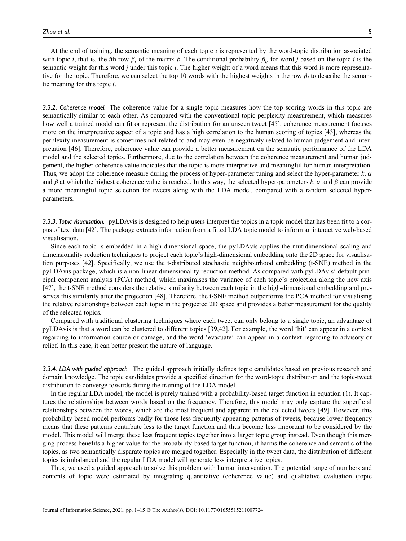At the end of training, the semantic meaning of each topic  $i$  is represented by the word-topic distribution associated with topic i, that is, the ith row  $\beta_i$  of the matrix  $\beta$ . The conditional probability  $\beta_{ii}$  for word j based on the topic i is the semantic weight for this word j under this topic *i*. The higher weight of a word means that this word is more representative for the topic. Therefore, we can select the top 10 words with the highest weights in the row  $\beta_i$  to describe the semantic meaning for this topic i.

3.3.2. Coherence model. The coherence value for a single topic measures how the top scoring words in this topic are semantically similar to each other. As compared with the conventional topic perplexity measurement, which measures how well a trained model can fit or represent the distribution for an unseen tweet [45], coherence measurement focuses more on the interpretative aspect of a topic and has a high correlation to the human scoring of topics [43], whereas the perplexity measurement is sometimes not related to and may even be negatively related to human judgement and interpretation [46]. Therefore, coherence value can provide a better measurement on the semantic performance of the LDA model and the selected topics. Furthermore, due to the correlation between the coherence measurement and human judgement, the higher coherence value indicates that the topic is more interpretive and meaningful for human interpretation. Thus, we adopt the coherence measure during the process of hyper-parameter tuning and select the hyper-parameter  $k$ ,  $\alpha$ and  $\beta$  at which the highest coherence value is reached. In this way, the selected hyper-parameters k,  $\alpha$  and  $\beta$  can provide a more meaningful topic selection for tweets along with the LDA model, compared with a random selected hyperparameters.

3.3.3. Topic visualisation. pyLDAvis is designed to help users interpret the topics in a topic model that has been fit to a corpus of text data [42]. The package extracts information from a fitted LDA topic model to inform an interactive web-based visualisation.

Since each topic is embedded in a high-dimensional space, the pyLDAvis applies the mutidimensional scaling and dimensionality reduction techniques to project each topic's high-dimensional embedding onto the 2D space for visualisation purposes [42]. Specifically, we use the t-distributed stochastic neighbourhood embedding (t-SNE) method in the pyLDAvis package, which is a non-linear dimensionality reduction method. As compared with pyLDAvis' default principal component analysis (PCA) method, which maximises the variance of each topic's projection along the new axis [47], the t-SNE method considers the relative similarity between each topic in the high-dimensional embedding and preserves this similarity after the projection [48]. Therefore, the t-SNE method outperforms the PCA method for visualising the relative relationships between each topic in the projected 2D space and provides a better measurement for the quality of the selected topics.

Compared with traditional clustering techniques where each tweet can only belong to a single topic, an advantage of pyLDAvis is that a word can be clustered to different topics [39,42]. For example, the word 'hit' can appear in a context regarding to information source or damage, and the word 'evacuate' can appear in a context regarding to advisory or relief. In this case, it can better present the nature of language.

3.3.4. LDA with guided approach. The guided approach initially defines topic candidates based on previous research and domain knowledge. The topic candidates provide a specified direction for the word-topic distribution and the topic-tweet distribution to converge towards during the training of the LDA model.

In the regular LDA model, the model is purely trained with a probability-based target function in equation (1). It captures the relationships between words based on the frequency. Therefore, this model may only capture the superficial relationships between the words, which are the most frequent and apparent in the collected tweets [49]. However, this probability-based model performs badly for those less frequently appearing patterns of tweets, because lower frequency means that these patterns contribute less to the target function and thus become less important to be considered by the model. This model will merge these less frequent topics together into a larger topic group instead. Even though this merging process benefits a higher value for the probability-based target function, it harms the coherence and semantic of the topics, as two semantically disparate topics are merged together. Especially in the tweet data, the distribution of different topics is imbalanced and the regular LDA model will generate less interpretative topics.

Thus, we used a guided approach to solve this problem with human intervention. The potential range of numbers and contents of topic were estimated by integrating quantitative (coherence value) and qualitative evaluation (topic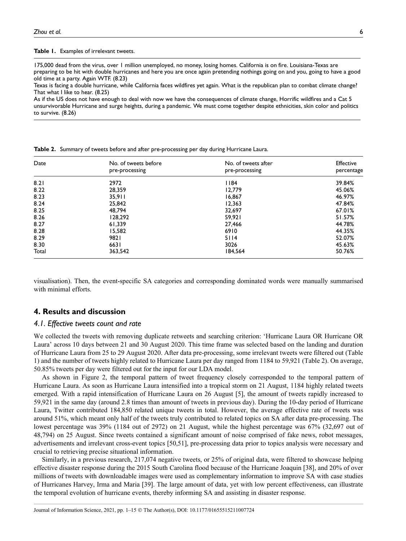Table 1. Examples of irrelevant tweets.

175,000 dead from the virus, over 1 million unemployed, no money, losing homes. California is on fire. Louisiana-Texas are preparing to be hit with double hurricanes and here you are once again pretending nothings going on and you, going to have a good old time at a party. Again WTF. (8.23)

Texas is facing a double hurricane, while California faces wildfires yet again. What is the republican plan to combat climate change? That what I like to hear. (8.25)

As if the US does not have enough to deal with now we have the consequences of climate change, Horrific wildfires and a Cat 5 unsurvivorable Hurricane and surge heights, during a pandemic. We must come together despite ethnicities, skin color and politics to survive. (8.26)

| Date  | No. of tweets before | No. of tweets after | <b>Effective</b> |
|-------|----------------------|---------------------|------------------|
|       | pre-processing       | pre-processing      | percentage       |
| 8.21  | 2972                 | 1184                | 39.84%           |
| 8.22  | 28,359               | 12,779              | 45.06%           |
| 8.23  | 35,911               | 16,867              | 46.97%           |
| 8.24  | 25,842               | 12,363              | 47.84%           |
| 8.25  | 48.794               | 32,697              | 67.01%           |
| 8.26  | 128.292              | 59,921              | 51.57%           |
| 8.27  | 61,339               | 27,466              | 44.78%           |
| 8.28  | 15.582               | 6910                | 44.35%           |
| 8.29  | 9821                 | 5114                | 52.07%           |
| 8.30  | 6631                 | 3026                | 45.63%           |
| Total | 363,542              | 184,564             | 50.76%           |

Table 2. Summary of tweets before and after pre-processing per day during Hurricane Laura.

visualisation). Then, the event-specific SA categories and corresponding dominated words were manually summarised with minimal efforts.

#### 4. Results and discussion

#### 4.1. Effective tweets count and rate

We collected the tweets with removing duplicate retweets and searching criterion: 'Hurricane Laura OR Hurricane OR Laura' across 10 days between 21 and 30 August 2020. This time frame was selected based on the landing and duration of Hurricane Laura from 25 to 29 August 2020. After data pre-processing, some irrelevant tweets were filtered out (Table 1) and the number of tweets highly related to Hurricane Laura per day ranged from 1184 to 59,921 (Table 2). On average, 50.85% tweets per day were filtered out for the input for our LDA model.

As shown in Figure 2, the temporal pattern of tweet frequency closely corresponded to the temporal pattern of Hurricane Laura. As soon as Hurricane Laura intensified into a tropical storm on 21 August, 1184 highly related tweets emerged. With a rapid intensification of Hurricane Laura on 26 August [5], the amount of tweets rapidly increased to 59,921 in the same day (around 2.8 times than amount of tweets in previous day). During the 10-day period of Hurricane Laura, Twitter contributed 184,850 related unique tweets in total. However, the average effective rate of tweets was around 51%, which meant only half of the tweets truly contributed to related topics on SA after data pre-processing. The lowest percentage was 39% (1184 out of 2972) on 21 August, while the highest percentage was 67% (32,697 out of 48,794) on 25 August. Since tweets contained a significant amount of noise comprised of fake news, robot messages, advertisements and irrelevant cross-event topics [50,51], pre-processing data prior to topics analysis were necessary and crucial to retrieving precise situational information.

Similarly, in a previous research, 217,074 negative tweets, or 25% of original data, were filtered to showcase helping effective disaster response during the 2015 South Carolina flood because of the Hurricane Joaquin [38], and 20% of over millions of tweets with downloadable images were used as complementary information to improve SA with case studies of Hurricanes Harvey, Irma and Maria [39]. The large amount of data, yet with low percent effectiveness, can illustrate the temporal evolution of hurricane events, thereby informing SA and assisting in disaster response.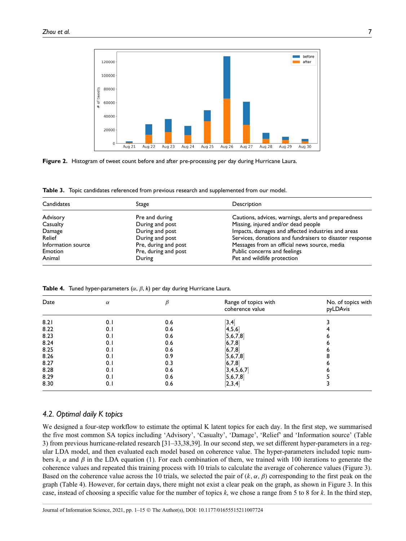

Figure 2. Histogram of tweet count before and after pre-processing per day during Hurricane Laura.

Table 3. Topic candidates referenced from previous research and supplemented from our model.

| Candidates         | Stage                | Description                                              |
|--------------------|----------------------|----------------------------------------------------------|
| Advisory           | Pre and during       | Cautions, advices, warnings, alerts and preparedness     |
| Casualty           | During and post      | Missing, injured and/or dead people                      |
| Damage             | During and post      | Impacts, damages and affected industries and areas       |
| Relief             | During and post      | Services, donations and fundraisers to disaster response |
| Information source | Pre, during and post | Messages from an official news source, media             |
| Emotion            | Pre, during and post | Public concerns and feelings                             |
| Animal             | During               | Pet and wildlife protection                              |

**Table 4.** Tuned hyper-parameters ( $\alpha$ ,  $\beta$ , k) per day during Hurricane Laura.

| Date | $\alpha$ |     | Range of topics with<br>coherence value | No. of topics with<br>pyLDAvis |
|------|----------|-----|-----------------------------------------|--------------------------------|
| 8.21 | 0.1      | 0.6 | 3,4                                     |                                |
| 8.22 | 0.1      | 0.6 | 4,5,6                                   |                                |
| 8.23 | 0.1      | 0.6 | [5,6,7,8]                               |                                |
| 8.24 | 0.1      | 0.6 | [6,7,8]                                 |                                |
| 8.25 | 0.1      | 0.6 | [6,7,8]                                 |                                |
| 8.26 | 0.1      | 0.9 | [5,6,7,8]                               |                                |
| 8.27 | 0.1      | 0.3 | [6,7,8]                                 |                                |
| 8.28 | 0.1      | 0.6 | 3,4,5,6,7                               |                                |
| 8.29 | 0.1      | 0.6 | [5, 6, 7, 8]                            |                                |
| 8.30 | 0.1      | 0.6 | [2,3,4]                                 |                                |

#### 4.2. Optimal daily K topics

We designed a four-step workflow to estimate the optimal K latent topics for each day. In the first step, we summarised the five most common SA topics including 'Advisory', 'Casualty', 'Damage', 'Relief' and 'Information source' (Table 3) from previous hurricane-related research [31–33,38,39]. In our second step, we set different hyper-parameters in a regular LDA model, and then evaluated each model based on coherence value. The hyper-parameters included topic numbers k,  $\alpha$  and  $\beta$  in the LDA equation (1). For each combination of them, we trained with 100 iterations to generate the coherence values and repeated this training process with 10 trials to calculate the average of coherence values (Figure 3). Based on the coherence value across the 10 trials, we selected the pair of  $(k, \alpha, \beta)$  corresponding to the first peak on the graph (Table 4). However, for certain days, there might not exist a clear peak on the graph, as shown in Figure 3. In this case, instead of choosing a specific value for the number of topics  $k$ , we chose a range from 5 to 8 for  $k$ . In the third step,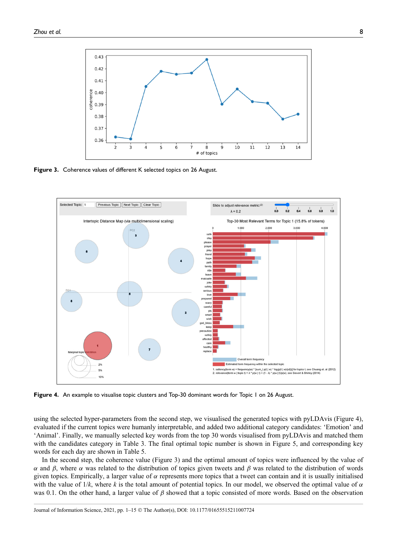

Figure 3. Coherence values of different K selected topics on 26 August.



Figure 4. An example to visualise topic clusters and Top-30 dominant words for Topic 1 on 26 August.

using the selected hyper-parameters from the second step, we visualised the generated topics with pyLDAvis (Figure 4), evaluated if the current topics were humanly interpretable, and added two additional category candidates: 'Emotion' and 'Animal'. Finally, we manually selected key words from the top 30 words visualised from pyLDAvis and matched them with the candidates category in Table 3. The final optimal topic number is shown in Figure 5, and corresponding key words for each day are shown in Table 5.

In the second step, the coherence value (Figure 3) and the optimal amount of topics were influenced by the value of α and β, where α was related to the distribution of topics given tweets and β was related to the distribution of words given topics. Empirically, a larger value of  $\alpha$  represents more topics that a tweet can contain and it is usually initialised with the value of  $1/k$ , where k is the total amount of potential topics. In our model, we observed the optimal value of  $\alpha$ was 0.1. On the other hand, a larger value of  $\beta$  showed that a topic consisted of more words. Based on the observation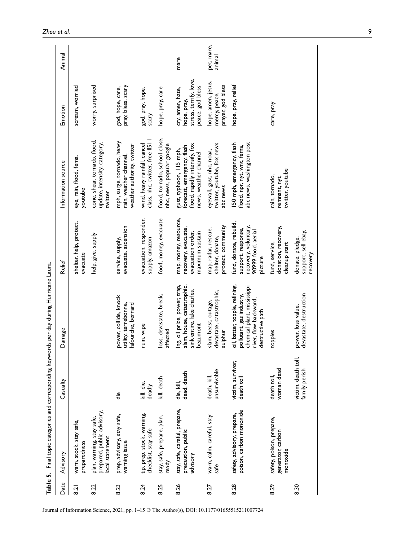|                  | Table 5. Final topic categories and corresponding keywords per day during Hurricane Laura. |                                      |                                                                                                                                        |                                                                                                       |                                                                                                                 |                                                                               |                      |
|------------------|--------------------------------------------------------------------------------------------|--------------------------------------|----------------------------------------------------------------------------------------------------------------------------------------|-------------------------------------------------------------------------------------------------------|-----------------------------------------------------------------------------------------------------------------|-------------------------------------------------------------------------------|----------------------|
| Date             | Advisory                                                                                   | Casualty                             | Damage                                                                                                                                 | Relief                                                                                                | Information source                                                                                              | Emotion                                                                       | Animal               |
| $\overline{8.2}$ | warn, stock, stay safe,<br>preparedness                                                    |                                      |                                                                                                                                        | shelter, help, protect,<br>evacuate                                                                   | eye, rain, flood, fema,<br>youtube                                                                              | scream, worried                                                               |                      |
| 8.22             | prepared, public advisory,<br>plan, warning, stay safe,<br>local statement                 |                                      |                                                                                                                                        | help, give, supply                                                                                    | cone, shear, tornado, flood,<br>update, intensity, category,<br>twitter                                         | worry, surprised                                                              |                      |
| 8.23             | prep, advisory, stay safe,<br>warning issue                                                | ؚڟۣ                                  | power, collide, knock<br>utility, terrebonne,<br>lafourche, bernard                                                                    | evacuate, ascension<br>service, supply,                                                               | mph, surge, tornado, heavy<br>weather authority, twitter<br>rain, weather channel,                              | pray, bless, scary<br>god, hope, care,                                        |                      |
| 8.24             | tip, prep, stock, warning,<br>checklist, stay safe                                         | kill, die,<br>deadly                 | uin, wipe                                                                                                                              | evacuation, responder,<br>supply, amazon                                                              | class, nhc, twitter, free fI511<br>wind, heavy rainfall, cancel                                                 | god, pray, hope,<br>scary                                                     |                      |
| 8.25             | stay, safe, prepare, plan,<br>ready                                                        | kill, death                          | oss, devastate, break,<br>affected                                                                                                     | food, money, evacuate                                                                                 | flood, tornado, school close,<br>nhc, news, popular google                                                      | hope, pray, care                                                              |                      |
| 8.26             | stay, safe, careful, prepare,<br>precaution, public<br>advisory                            | dead, death<br>die, kill,            | slam, house, catastrophic,<br>ng, oil price, power, trap,<br>sink entire, lake charles,<br>beaumont                                    | map, money, resource,<br>recovery, evacuate,<br>evacuation order,<br>maximum sustain                  | flood, rapidly intensify, fox<br>forecast, emergency, flash<br>gust, typhoon, 115 mph,<br>news, weather channel | stress, terrify, love,<br>peace, god bless<br>cry, amen, hate,<br>hope, pray, | mare                 |
| 8.27             | warn, calm, careful, stay<br>safe                                                          | unsurvivable<br>death, kill          | devastate, catastrophic,<br>slam, beast, outage,<br>sulphur                                                                            | protect, community<br>map, radar, rescue,<br>shelter, donate,                                         | twitter, youtube, fox news<br>eyewall, gust, nhc, noaa,<br>abc news                                             | hope, amen, jesus,<br>prayer, god bless<br>mercy, peace,                      | pet, mare,<br>animal |
| 8.28             | poison, carbon monoxide<br>safety, advisory, prepare,                                      | victim, survivor,<br>death toll      | oil, batter, topple, refining,<br>chemical plant, mississippi<br>pollutant, gas industry,<br>river, flow backward,<br>destructive path | fund, donate, rebuild,<br>recovery, voluntary,<br>support, response,<br>90999 food, aerial<br>picture | abc news, washington post<br>150 mph, emergency, flash<br>flood, npr, nyt, wnt, fema,                           | hope, pray, relief                                                            |                      |
| 8.29             | safety, poison, prepare,<br>generator, carbon<br>monoxide                                  | woman dead<br>death toll             | topples                                                                                                                                | donation, recovery,<br>fund, service,<br>cleanup start                                                | twitter, youtube<br>rain, tornado,<br>remnant, nyt,                                                             | care, pray                                                                    |                      |
| 8.30             |                                                                                            | victim, death toll,<br>family perish | levastate, destruction<br>power, loss value,                                                                                           | support, sell ebay,<br>donate, pledge,<br>recovery                                                    |                                                                                                                 |                                                                               |                      |

Zhou et al.

Journal of Information Science, 2021, pp. 1–15 © The Author(s), DOI: 10.1177/01655515211007724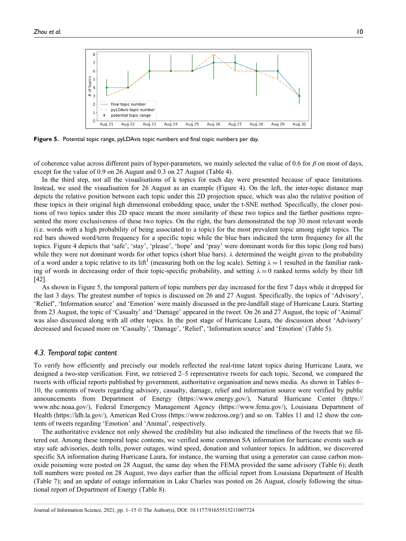

Figure 5. Potential topic range, pyLDAvis topic numbers and final topic numbers per day.

of coherence value across different pairs of hyper-parameters, we mainly selected the value of 0.6 for  $\beta$  on most of days, except for the value of 0.9 on 26 August and 0.3 on 27 August (Table 4).

In the third step, not all the visualisations of k topics for each day were presented because of space limitations. Instead, we used the visualisation for 26 August as an example (Figure 4). On the left, the inter-topic distance map depicts the relative position between each topic under this 2D projection space, which was also the relative position of these topics in their original high dimensional embedding space, under the t-SNE method. Specifically, the closer positions of two topics under this 2D space meant the more similarity of these two topics and the farther positions represented the more exclusiveness of these two topics. On the right, the bars demonstrated the top 30 most relevant words (i.e. words with a high probability of being associated to a topic) for the most prevalent topic among eight topics. The red bars showed word/term frequency for a specific topic while the blue bars indicated the term frequency for all the topics. Figure 4 depicts that 'safe', 'stay', 'please', 'hope' and 'pray' were dominant words for this topic (long red bars) while they were not dominant words for other topics (short blue bars).  $\lambda$  determined the weight given to the probability of a word under a topic relative to its lift<sup>1</sup> (measuring both on the log scale). Setting  $\lambda = 1$  resulted in the familiar ranking of words in decreasing order of their topic-specific probability, and setting  $\lambda = 0$  ranked terms solely by their lift [42].

As shown in Figure 5, the temporal pattern of topic numbers per day increased for the first 7 days while it dropped for the last 3 days. The greatest number of topics is discussed on 26 and 27 August. Specifically, the topics of 'Advisory', 'Relief', 'Information source' and 'Emotion' were mainly discussed in the pre-landfall stage of Hurricane Laura. Starting from 23 August, the topic of 'Casualty' and 'Damage' appeared in the tweet. On 26 and 27 August, the topic of 'Animal' was also discussed along with all other topics. In the post stage of Hurricane Laura, the discussion about 'Advisory' decreased and focused more on 'Casualty', 'Damage', 'Relief', 'Information source' and 'Emotion' (Table 5).

#### 4.3. Temporal topic content

To verify how efficiently and precisely our models reflected the real-time latent topics during Hurricane Laura, we designed a two-step verification. First, we retrieved 2–5 representative tweets for each topic. Second, we compared the tweets with official reports published by government, authoritative organisation and news media. As shown in Tables 6– 10, the contents of tweets regarding advisory, casualty, damage, relief and information source were verified by public announcements from Department of Energy [\(https://www.energy.gov/](https://www.energy.gov/)), Natural Hurricane Center [\(https://](https://www.nhc.noaa.gov/) [www.nhc.noaa.gov/](https://www.nhc.noaa.gov/)), Federal Emergency Management Agency [\(https://www.fema.gov/\)](https://www.fema.gov/), Louisiana Department of Health [\(https://ldh.la.gov/](https://ldh.la.gov/)), American Red Cross (<https://www.redcross.org/>) and so on. Tables 11 and 12 show the contents of tweets regarding 'Emotion' and 'Animal', respectively.

The authoritative evidence not only showed the credibility but also indicated the timeliness of the tweets that we filtered out. Among these temporal topic contents, we verified some common SA information for hurricane events such as stay safe advisories, death tolls, power outages, wind speed, donation and volunteer topics. In addition, we discovered specific SA information during Hurricane Laura, for instance, the warning that using a generator can cause carbon monoxide poisoning were posted on 28 August, the same day when the FEMA provided the same advisory (Table 6); death toll numbers were posted on 28 August, two days earlier than the official report from Louisiana Department of Health (Table 7); and an update of outage information in Lake Charles was posted on 26 August, closely following the situational report of Department of Energy (Table 8).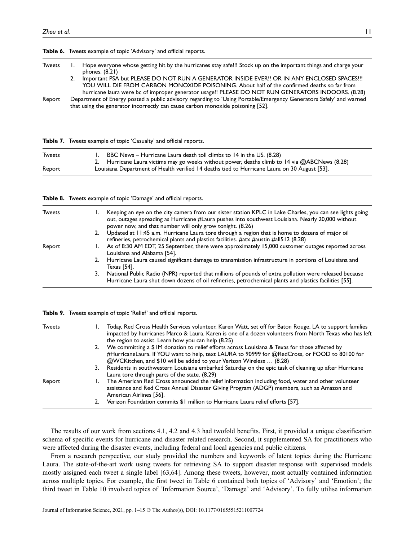| <b>Tweets</b> | Hope everyone whose getting hit by the hurricanes stay safe!!! Stock up on the important things and charge your<br>phones. $(8.21)$                                                                                                                                                             |
|---------------|-------------------------------------------------------------------------------------------------------------------------------------------------------------------------------------------------------------------------------------------------------------------------------------------------|
|               | Important PSA but PLEASE DO NOT RUN A GENERATOR INSIDE EVER!! OR IN ANY ENCLOSED SPACES!!!<br>YOU WILL DIE FROM CARBON MONOXIDE POISONING. About half of the confirmed deaths so far from<br>hurricane laura were bc of improper generator usage!! PLEASE DO NOT RUN GENERATORS INDOORS. (8.28) |
| Report        | Department of Energy posted a public advisory regarding to 'Using Portable/Emergency Generators Safely' and warned<br>that using the generator incorrectly can cause carbon monoxide poisoning [52].                                                                                            |

|               | <b>Table 7.</b> Tweets example of topic 'Casualty' and official reports.                                                                                              |  |  |
|---------------|-----------------------------------------------------------------------------------------------------------------------------------------------------------------------|--|--|
| <b>Tweets</b> | BBC News – Hurricane Laura death toll climbs to 14 in the US. (8.28)<br>2. Hurricane Laura victims may go weeks without power, deaths climb to 14 via @ABCNews (8.28) |  |  |
| Report        | Louisiana Department of Health verified 14 deaths tied to Hurricane Laura on 30 August [53].                                                                          |  |  |

|  |  |  |  |  | Table 8. Tweets example of topic 'Damage' and official reports. |  |
|--|--|--|--|--|-----------------------------------------------------------------|--|
|--|--|--|--|--|-----------------------------------------------------------------|--|

Table 9. Tweets example of topic 'Relief' and official reports.

Table 6. Tweets example of topic 'Advisory' and official reports.

| <b>Tweets</b> |    | Keeping an eye on the city camera from our sister station KPLC in Lake Charles, you can see lights going<br>out, outages spreading as Hurricane #Laura pushes into southwest Louisiana. Nearly 20,000 without<br>power now, and that number will only grow tonight. (8.26) |
|---------------|----|----------------------------------------------------------------------------------------------------------------------------------------------------------------------------------------------------------------------------------------------------------------------------|
|               |    | 2. Updated at 11:45 a.m. Hurricane Laura tore through a region that is home to dozens of major oil<br>refineries, petrochemical plants and plastics facilities. #atx #austin #all512 (8.28)                                                                                |
| Report        |    | As of 8:30 AM EDT, 25 September, there were approximately 15,000 customer outages reported across<br>Louisiana and Alabama [54].                                                                                                                                           |
|               | 2. | Hurricane Laura caused significant damage to transmission infrastructure in portions of Louisiana and<br>Texas [54].                                                                                                                                                       |
|               | 3. | National Public Radio (NPR) reported that millions of pounds of extra pollution were released because<br>Hurricane Laura shut down dozens of oil refineries, petrochemical plants and plastics facilities [55].                                                            |

| Tweets |    | Today, Red Cross Health Services volunteer, Karen Watt, set off for Baton Rouge, LA to support families<br>impacted by hurricanes Marco & Laura. Karen is one of a dozen volunteers from North Texas who has left<br>the region to assist. Learn how you can help (8.25) |
|--------|----|--------------------------------------------------------------------------------------------------------------------------------------------------------------------------------------------------------------------------------------------------------------------------|
|        | 2. | We committing a \$1M donation to relief efforts across Louisiana & Texas for those affected by<br>#HurricaneLaura. If YOU want to help, text LAURA to 90999 for @RedCross, or FOOD to 80100 for<br>@WCKitchen, and \$10 will be added to your Verizon Wireless  (8.28)   |
|        | 3. | Residents in southwestern Louisiana embarked Saturday on the epic task of cleaning up after Hurricane<br>Laura tore through parts of the state. (8.29)                                                                                                                   |
| Report |    | The American Red Cross announced the relief information including food, water and other volunteer<br>assistance and Red Cross Annual Disaster Giving Program (ADGP) members, such as Amazon and<br>American Airlines [56].                                               |
|        |    | Verizon Foundation commits \$1 million to Hurricane Laura relief efforts [57].                                                                                                                                                                                           |
|        |    |                                                                                                                                                                                                                                                                          |

The results of our work from sections 4.1, 4.2 and 4.3 had twofold benefits. First, it provided a unique classification schema of specific events for hurricane and disaster related research. Second, it supplemented SA for practitioners who were affected during the disaster events, including federal and local agencies and public citizens.

From a research perspective, our study provided the numbers and keywords of latent topics during the Hurricane Laura. The state-of-the-art work using tweets for retrieving SA to support disaster response with supervised models mostly assigned each tweet a single label [63,64]. Among these tweets, however, most actually contained information across multiple topics. For example, the first tweet in Table 6 contained both topics of 'Advisory' and 'Emotion'; the third tweet in Table 10 involved topics of 'Information Source', 'Damage' and 'Advisory'. To fully utilise information

### Journal of Information Science, 2021, pp. 1–15 © The Author(s), DOI: 10.1177/01655515211007724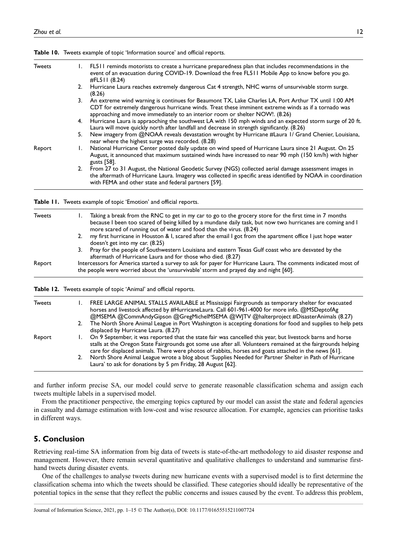| <b>Tweets</b> |    | 1. FL511 reminds motorists to create a hurricane preparedness plan that includes recommendations in the<br>event of an evacuation during COVID-19. Download the free FL511 Mobile App to know before you go.<br>$\#$ FL511 (8.24)                                                             |
|---------------|----|-----------------------------------------------------------------------------------------------------------------------------------------------------------------------------------------------------------------------------------------------------------------------------------------------|
|               |    | 2. Hurricane Laura reaches extremely dangerous Cat 4 strength, NHC warns of unsurvivable storm surge.<br>(8.26)                                                                                                                                                                               |
|               |    | 3. An extreme wind warning is continues for Beaumont TX, Lake Charles LA, Port Arthur TX until 1:00 AM<br>CDT for extremely dangerous hurricane winds. Treat these imminent extreme winds as if a tornado was<br>approaching and move immediately to an interior room or shelter NOW!. (8.26) |
|               |    | 4. Hurricane Laura is appraoching the southwest LA with 150 mph winds and an expected storm surge of 20 ft.<br>Laura will move quickly north after landfall and decrease in strength significantly. (8.26)                                                                                    |
|               | 5. | New imagery from @NOAA reveals devastation wrought by Hurricane #Laura I/ Grand Chenier, Louisiana,<br>near where the highest surge was recorded. (8.28)                                                                                                                                      |
| Report        |    | National Hurricane Center posted daily update on wind speed of Hurricane Laura since 21 August. On 25<br>August, it announced that maximum sustained winds have increased to near 90 mph (150 km/h) with higher<br>gusts [58].                                                                |
|               |    | 2. From 27 to 31 August, the National Geodetic Survey (NGS) collected aerial damage assessment images in<br>the aftermath of Hurricane Laura. Imagery was collected in specific areas identified by NOAA in coordination<br>with FEMA and other state and federal partners [59].              |

Table 10. Tweets example of topic 'Information source' and official reports.

Table 11. Tweets example of topic 'Emotion' and official reports.

| <b>Tweets</b> |    | Taking a break from the RNC to get in my car to go to the grocery store for the first time in 7 months<br>because I been too scared of being killed by a mundane daily task, but now two hurricanes are coming and I |
|---------------|----|----------------------------------------------------------------------------------------------------------------------------------------------------------------------------------------------------------------------|
|               |    | more scared of running out of water and food than the virus. (8.24)                                                                                                                                                  |
|               | 2. | my first hurricane in Houston & I, scared after the email I got from the apartment office I just hope water<br>doesn't get into my car. (8.25)                                                                       |
|               |    | 3. Pray for the people of Southwestern Louisiana and eastern Texas Gulf coast who are desvated by the<br>aftermath of Hurricane Laura and for those who died. (8.27)                                                 |
| Report        |    | Intercessors for America started a survey to ask for payer for Hurricane Laura. The comments indicated most of<br>the people were worried about the 'unsurvivable' storm and prayed day and night [60].              |

Table 12. Tweets example of topic 'Animal' and official reports.

| <b>Tweets</b> |    | FREE LARGE ANIMAL STALLS AVAILABLE at Mississippi Fairgrounds as temporary shelter for evacuated<br>horses and livestock affected by #HurricaneLaura. Call 601-961-4000 for more info. @MSDeptofAg<br>@MSEMA @CommAndyGipson @GregMichelMSEMA @W TV @halterproject #DisasterAnimals (8.27)                                           |
|---------------|----|--------------------------------------------------------------------------------------------------------------------------------------------------------------------------------------------------------------------------------------------------------------------------------------------------------------------------------------|
|               | 2. | The North Shore Animal League in Port Washington is accepting donations for food and supplies to help pets<br>displaced by Hurricane Laura. (8.27)                                                                                                                                                                                   |
| Report        |    | On 9 September, it was reported that the state fair was cancelled this year, but livestock barns and horse<br>stalls at the Oregon State Fairgrounds got some use after all. Volunteers remained at the fairgrounds helping<br>care for displaced animals. There were photos of rabbits, horses and goats attached in the news [61]. |
|               |    | North Shore Animal League wrote a blog about 'Supplies Needed for Partner Shelter in Path of Hurricane<br>Laura' to ask for donations by 5 pm Friday, 28 August [62].                                                                                                                                                                |

and further inform precise SA, our model could serve to generate reasonable classification schema and assign each tweets multiple labels in a supervised model.

From the practitioner perspective, the emerging topics captured by our model can assist the state and federal agencies in casualty and damage estimation with low-cost and wise resource allocation. For example, agencies can prioritise tasks in different ways.

#### 5. Conclusion

Retrieving real-time SA information from big data of tweets is state-of-the-art methodology to aid disaster response and management. However, there remain several quantitative and qualitative challenges to understand and summarise firsthand tweets during disaster events.

One of the challenges to analyse tweets during new hurricane events with a supervised model is to first determine the classification schema into which the tweets should be classified. These categories should ideally be representative of the potential topics in the sense that they reflect the public concerns and issues caused by the event. To address this problem,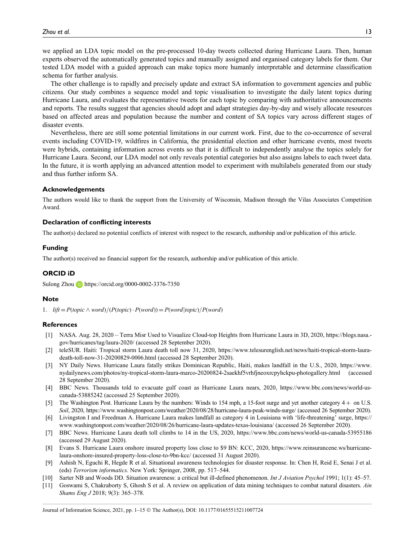we applied an LDA topic model on the pre-processed 10-day tweets collected during Hurricane Laura. Then, human experts observed the automatically generated topics and manually assigned and organised category labels for them. Our tested LDA model with a guided approach can make topics more humanly interpretable and determine classification schema for further analysis.

The other challenge is to rapidly and precisely update and extract SA information to government agencies and public citizens. Our study combines a sequence model and topic visualisation to investigate the daily latent topics during Hurricane Laura, and evaluates the representative tweets for each topic by comparing with authoritative announcements and reports. The results suggest that agencies should adopt and adapt strategies day-by-day and wisely allocate resources based on affected areas and population because the number and content of SA topics vary across different stages of disaster events.

Nevertheless, there are still some potential limitations in our current work. First, due to the co-occurrence of several events including COVID-19, wildfires in California, the presidential election and other hurricane events, most tweets were hybrids, containing information across events so that it is difficult to independently analyse the topics solely for Hurricane Laura. Second, our LDA model not only reveals potential categories but also assigns labels to each tweet data. In the future, it is worth applying an advanced attention model to experiment with multilabels generated from our study and thus further inform SA.

#### Acknowledgements

The authors would like to thank the support from the University of Wisconsin, Madison through the Vilas Associates Competition Award.

#### Declaration of conflicting interests

The author(s) declared no potential conflicts of interest with respect to the research, authorship and/or publication of this article.

#### Funding

The author(s) received no financial support for the research, authorship and/or publication of this article.

#### ORCID iD

Sulong Zhou <https://orcid.org/0000-0002-3376-7350>

#### Note

1.  $lift = P(topic \wedge word)/(P(topic) \cdot P(word)) = P(word|topic)/P(word)$ 

#### **References**

- [1] NASA. Aug. 28, 2020 Terra Misr Used to Visualize Cloud-top Heights from Hurricane Laura in 3D, 2020, [https://blogs.nasa.](https://blogs.nasa.gov/hurricanes/tag/laura-2020/) [gov/hurricanes/tag/laura-2020/](https://blogs.nasa.gov/hurricanes/tag/laura-2020/) (accessed 28 September 2020).
- [2] teleSUR. Haiti: Tropical storm Laura death toll now 31, 2020, [https://www.telesurenglish.net/news/haiti-tropical-storm-laura](https://www.telesurenglish.net/news/haiti-tropical-storm-laura-death-toll-now-31-20200829-0006.html)[death-toll-now-31-20200829-0006.html](https://www.telesurenglish.net/news/haiti-tropical-storm-laura-death-toll-now-31-20200829-0006.html) (accessed 28 September 2020).
- [3] NY Daily News. Hurricane Laura fatally strikes Dominican Republic, Haiti, makes landfall in the U.S., 2020, [https://www.](https://www.nydailynews.com/photos/ny-tropical-storm-laura-marco-20200824-2saekhf5vrhfjneoxrcpyhckpu-photogallery.html) [nydailynews.com/photos/ny-tropical-storm-laura-marco-20200824-2saekhf5vrhfjneoxrcpyhckpu-photogallery.html](https://www.nydailynews.com/photos/ny-tropical-storm-laura-marco-20200824-2saekhf5vrhfjneoxrcpyhckpu-photogallery.html) (accessed 28 September 2020).
- [4] BBC News. Thousands told to evacuate gulf coast as Hurricane Laura nears, 2020, [https://www.bbc.com/news/world-us](https://www.bbc.Com/news/world-us-canada-53885242)[canada-53885242](https://www.bbc.Com/news/world-us-canada-53885242) (accessed 25 September 2020).
- [5] The Washington Post. Hurricane Laura by the numbers: Winds to 154 mph, a 15-foot surge and yet another category 4+ on U.S. Soil, 2020,<https://www.washingtonpost.com/weather/2020/08/28/hurricane-laura-peak-winds-surge/> (accessed 26 September 2020).
- [6] Livingston I and Freedman A. Hurricane Laura makes landfall as category 4 in Louisiana with 'life-threatening' surge, [https://](https://www.washingtonpost.com/weather/2020/08/26/hurricane-laura-updates-texas-louisiana/) [www.washingtonpost.com/weather/2020/08/26/hurricane-laura-updates-texas-louisiana/](https://www.washingtonpost.com/weather/2020/08/26/hurricane-laura-updates-texas-louisiana/) (accessed 26 September 2020).
- [7] BBC News. Hurricane Laura death toll climbs to 14 in the US, 2020,<https://www.bbc.com/news/world-us-canada-53955186> (accessed 29 August 2020).
- [8] Evans S. Hurricane Laura onshore insured property loss close to \$9 BN: KCC, 2020, [https://www.reinsurancene.ws/hurricane](https://www.reinsurancene.ws/hurricane-laura-onshore-insured-property-loss-close-to-9bn-kcc/)[laura-onshore-insured-property-loss-close-to-9bn-kcc/](https://www.reinsurancene.ws/hurricane-laura-onshore-insured-property-loss-close-to-9bn-kcc/) (accessed 31 August 2020).
- [9] Ashish N, Eguchi R, Hegde R et al. Situational awareness technologies for disaster response. In: Chen H, Reid E, Senai J et al. (eds) Terrorism informatics. New York: Springer, 2008, pp. 517–544.
- [10] Sarter NB and Woods DD. Situation awareness: a critical but ill-defined phenomenon. Int J Aviation Psychol 1991; 1(1): 45–57.
- [11] Goswami S, Chakraborty S, Ghosh S et al. A review on application of data mining techniques to combat natural disasters. Ain Shams Eng J 2018; 9(3): 365–378.

Journal of Information Science, 2021, pp. 1–15 © The Author(s), DOI: 10.1177/01655515211007724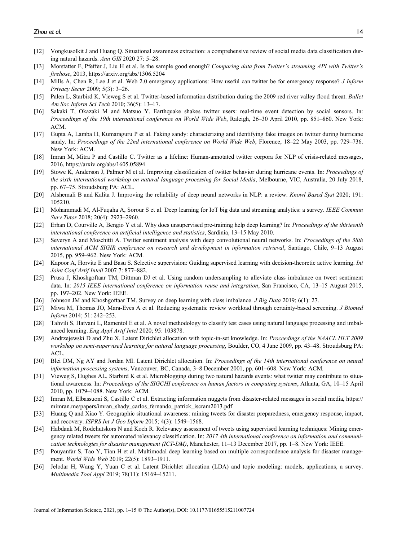- [12] Vongkusolkit J and Huang Q. Situational awareness extraction: a comprehensive review of social media data classification during natural hazards. Ann GIS 2020 27: 5–28.
- [13] Morstatter F, Pfeffer J, Liu H et al. Is the sample good enough? Comparing data from Twitter's streaming API with Twitter's firehose, 2013,<https://arxiv.org/abs/1306.5204>
- [14] Mills A, Chen R, Lee J et al. Web 2.0 emergency applications: How useful can twitter be for emergency response? *J Inform* Privacy Secur 2009; 5(3): 3–26.
- [15] Palen L, Starbird K, Vieweg S et al. Twitter-based information distribution during the 2009 red river valley flood threat. Bullet Am Soc Inform Sci Tech 2010; 36(5): 13–17.
- [16] Sakaki T, Okazaki M and Matsuo Y. Earthquake shakes twitter users: real-time event detection by social sensors. In: Proceedings of the 19th international conference on World Wide Web, Raleigh, 26–30 April 2010, pp. 851–860. New York: ACM.
- [17] Gupta A, Lamba H, Kumaraguru P et al. Faking sandy: characterizing and identifying fake images on twitter during hurricane sandy. In: Proceedings of the 22nd international conference on World Wide Web, Florence, 18–22 May 2003, pp. 729–736. New York: ACM.
- [18] Imran M, Mitra P and Castillo C. Twitter as a lifeline: Human-annotated twitter corpora for NLP of crisis-related messages, 2016,<https://arxiv.org/abs/1605.05894>
- [19] Stowe K, Anderson J, Palmer M et al. Improving classification of twitter behavior during hurricane events. In: Proceedings of the sixth international workshop on natural language processing for Social Media, Melbourne, VIC, Australia, 20 July 2018, pp. 67–75. Stroudsburg PA: ACL.
- [20] Alshemali B and Kalita J. Improving the reliability of deep neural networks in NLP: a review. *Knowl Based Syst* 2020; 191: 105210.
- [21] Mohammadi M, Al-Fuqaha A, Sorour S et al. Deep learning for IoT big data and streaming analytics: a survey. IEEE Commun Surv Tutor 2018; 20(4): 2923–2960.
- [22] Erhan D, Courville A, Bengio Y et al. Why does unsupervised pre-training help deep learning? In: *Proceedings of the thirteenth* international conference on artificial intelligence and statistics, Sardinia, 13–15 May 2010.
- [23] Severyn A and Moschitti A. Twitter sentiment analysis with deep convolutional neural networks. In: Proceedings of the 38th international ACM SIGIR conference on research and development in information retrieval, Santiago, Chile, 9–13 August 2015, pp. 959–962. New York: ACM.
- [24] Kapoor A, Horvitz E and Basu S. Selective supervision: Guiding supervised learning with decision-theoretic active learning. Int Joint Conf Artif Intell 2007 7: 877–882.
- [25] Prusa J, Khoshgoftaar TM, Dittman DJ et al. Using random undersampling to alleviate class imbalance on tweet sentiment data. In: 2015 IEEE international conference on information reuse and integration, San Francisco, CA, 13–15 August 2015, pp. 197–202. New York: IEEE.
- [26] Johnson JM and Khoshgoftaar TM. Survey on deep learning with class imbalance. *J Big Data* 2019; 6(1): 27.
- [27] Miwa M, Thomas JO, Mara-Eves A et al. Reducing systematic review workload through certainty-based screening. J Biomed Inform 2014; 51: 242–253.
- [28] Tahvili S, Hatvani L, Ramentol E et al. A novel methodology to classify test cases using natural language processing and imbalanced learning. Eng Appl Artif Intel 2020; 95: 103878.
- [29] Andrzejewski D and Zhu X. Latent Dirichlet allocation with topic-in-set knowledge. In: Proceedings of the NAACL HLT 2009 workshop on semi-supervised learning for natural language processing, Boulder, CO, 4 June 2009, pp. 43–48. Stroudsburg PA: ACL.
- [30] Blei DM, Ng AY and Jordan MI. Latent Dirichlet allocation. In: Proceedings of the 14th international conference on neural information processing systems, Vancouver, BC, Canada, 3–8 December 2001, pp. 601–608. New York: ACM.
- [31] Vieweg S, Hughes AL, Starbird K et al. Microblogging during two natural hazards events: what twitter may contribute to situational awareness. In: Proceedings of the SIGCHI conference on human factors in computing systems, Atlanta, GA, 10–15 April 2010, pp. 1079–1088. New York: ACM.
- [32] Imran M, Elbassuoni S, Castillo C et al. Extracting information nuggets from disaster-related messages in social media, [https://](https://mimran.me/papers/imran_shady_carlos_fernando_patrick_iscram2013.pdf) [mimran.me/papers/imran\\_shady\\_carlos\\_fernando\\_patrick\\_iscram2013.pdf](https://mimran.me/papers/imran_shady_carlos_fernando_patrick_iscram2013.pdf)
- [33] Huang Q and Xiao Y. Geographic situational awareness: mining tweets for disaster preparedness, emergency response, impact, and recovery. ISPRS Int J Geo Inform 2015; 4(3): 1549–1568.
- [34] Habdank M, Rodehutskors N and Koch R. Relevancy assessment of tweets using supervised learning techniques: Mining emergency related tweets for automated relevancy classification. In: 2017 4th international conference on information and communication technologies for disaster management (ICT-DM), Manchester, 11-13 December 2017, pp. 1-8. New York: IEEE.
- [35] Pouyanfar S, Tao Y, Tian H et al. Multimodal deep learning based on multiple correspondence analysis for disaster management. World Wide Web 2019; 22(5): 1893–1911.
- [36] Jelodar H, Wang Y, Yuan C et al. Latent Dirichlet allocation (LDA) and topic modeling: models, applications, a survey. Multimedia Tool Appl 2019; 78(11): 15169–15211.